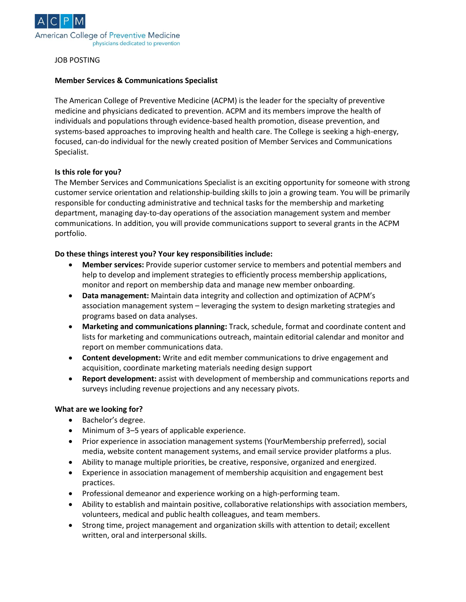

### JOB POSTING

### **Member Services & Communications Specialist**

The American College of Preventive Medicine (ACPM) is the leader for the specialty of preventive medicine and physicians dedicated to prevention. ACPM and its members improve the health of individuals and populations through evidence-based health promotion, disease prevention, and systems-based approaches to improving health and health care. The College is seeking a high-energy, focused, can-do individual for the newly created position of Member Services and Communications Specialist.

### **Is this role for you?**

The Member Services and Communications Specialist is an exciting opportunity for someone with strong customer service orientation and relationship-building skills to join a growing team. You will be primarily responsible for conducting administrative and technical tasks for the membership and marketing department, managing day-to-day operations of the association management system and member communications. In addition, you will provide communications support to several grants in the ACPM portfolio.

### **Do these things interest you? Your key responsibilities include:**

- **Member services:** Provide superior customer service to members and potential members and help to develop and implement strategies to efficiently process membership applications, monitor and report on membership data and manage new member onboarding.
- **Data management:** Maintain data integrity and collection and optimization of ACPM's association management system – leveraging the system to design marketing strategies and programs based on data analyses.
- **Marketing and communications planning:** Track, schedule, format and coordinate content and lists for marketing and communications outreach, maintain editorial calendar and monitor and report on member communications data.
- **Content development:** Write and edit member communications to drive engagement and acquisition, coordinate marketing materials needing design support
- **Report development:** assist with development of membership and communications reports and surveys including revenue projections and any necessary pivots.

#### **What are we looking for?**

- Bachelor's degree.
- Minimum of 3–5 years of applicable experience.
- Prior experience in association management systems (YourMembership preferred), social media, website content management systems, and email service provider platforms a plus.
- Ability to manage multiple priorities, be creative, responsive, organized and energized.
- Experience in association management of membership acquisition and engagement best practices.
- Professional demeanor and experience working on a high-performing team.
- Ability to establish and maintain positive, collaborative relationships with association members, volunteers, medical and public health colleagues, and team members.
- Strong time, project management and organization skills with attention to detail; excellent written, oral and interpersonal skills.